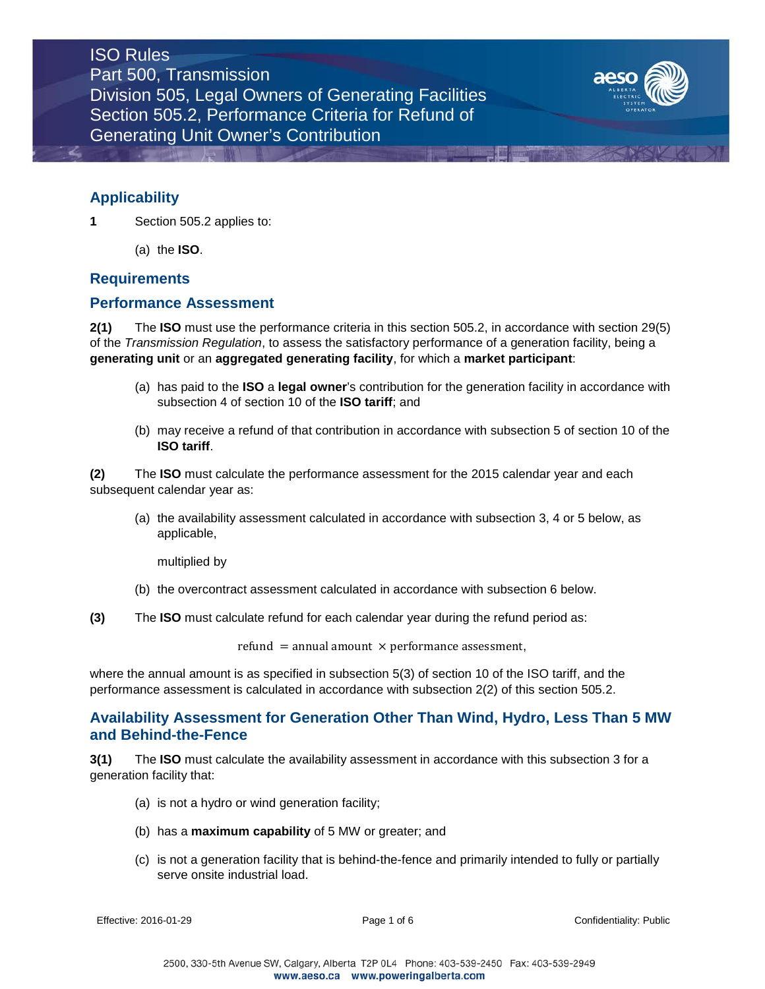

## **Applicability**

**1** Section 505.2 applies to:

(a) the **ISO**.

### **Requirements**

### **Performance Assessment**

**2(1)** The **ISO** must use the performance criteria in this section 505.2, in accordance with section 29(5) of the *Transmission Regulation*, to assess the satisfactory performance of a generation facility, being a **generating unit** or an **aggregated generating facility**, for which a **market participant**:

- (a) has paid to the **ISO** a **legal owner**'s contribution for the generation facility in accordance with subsection 4 of section 10 of the **ISO tariff**; and
- (b) may receive a refund of that contribution in accordance with subsection 5 of section 10 of the **ISO tariff**.

**(2)** The **ISO** must calculate the performance assessment for the 2015 calendar year and each subsequent calendar year as:

(a) the availability assessment calculated in accordance with subsection 3, 4 or 5 below, as applicable,

multiplied by

- (b) the overcontract assessment calculated in accordance with subsection 6 below.
- **(3)** The **ISO** must calculate refund for each calendar year during the refund period as:

refund = annual amount  $\times$  performance assessment,

where the annual amount is as specified in subsection 5(3) of section 10 of the ISO tariff, and the performance assessment is calculated in accordance with subsection 2(2) of this section 505.2.

### **Availability Assessment for Generation Other Than Wind, Hydro, Less Than 5 MW and Behind-the-Fence**

**3(1)** The **ISO** must calculate the availability assessment in accordance with this subsection 3 for a generation facility that:

- (a) is not a hydro or wind generation facility;
- (b) has a **maximum capability** of 5 MW or greater; and
- (c) is not a generation facility that is behind-the-fence and primarily intended to fully or partially serve onsite industrial load.

Effective: 2016-01-29 **Page 1 of 6** Page 1 of 6 Confidentiality: Public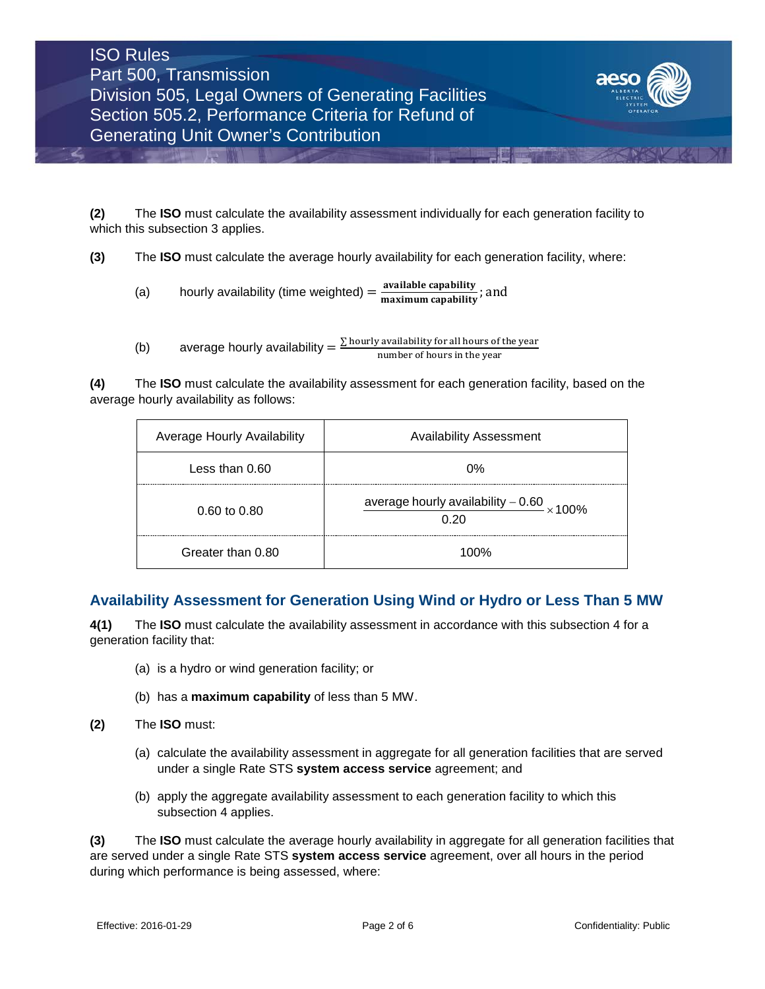

**(2)** The **ISO** must calculate the availability assessment individually for each generation facility to which this subsection 3 applies.

**(3)** The **ISO** must calculate the average hourly availability for each generation facility, where:

- (a) hourly availability (time weighted)  $=$   $\frac{\text{available capability}}{\text{maximum capability}}$ ; and
- (b) average hourly availability  $=$   $\frac{\sum \text{ hourly available}}{\text{number of hours in the year}}$

**(4)** The **ISO** must calculate the availability assessment for each generation facility, based on the average hourly availability as follows:

| Average Hourly Availability | <b>Availability Assessment</b>                     |
|-----------------------------|----------------------------------------------------|
| Less than 0.60              | ሰ%                                                 |
| $0.60 \text{ to } 0.80$     | average hourly availability $-0.60$ × 100%<br>0.20 |
| Greater than 0.80           | 1በበ%                                               |

# **Availability Assessment for Generation Using Wind or Hydro or Less Than 5 MW**

**4(1)** The **ISO** must calculate the availability assessment in accordance with this subsection 4 for a generation facility that:

- (a) is a hydro or wind generation facility; or
- (b) has a **maximum capability** of less than 5 MW.
- **(2)** The **ISO** must:
	- (a) calculate the availability assessment in aggregate for all generation facilities that are served under a single Rate STS **system access service** agreement; and
	- (b) apply the aggregate availability assessment to each generation facility to which this subsection 4 applies.

**(3)** The **ISO** must calculate the average hourly availability in aggregate for all generation facilities that are served under a single Rate STS **system access service** agreement, over all hours in the period during which performance is being assessed, where: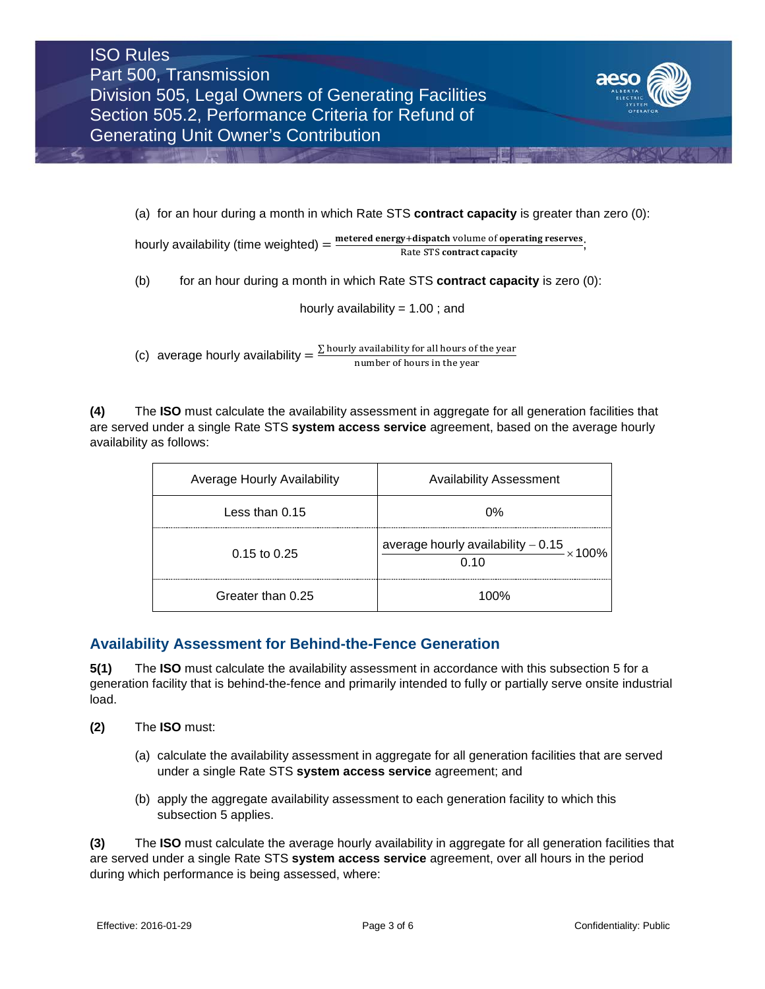

(a) for an hour during a month in which Rate STS **contract capacity** is greater than zero (0):

hourly availability (time weighted)  $=$   $\frac{\text{metered energy+dispatch volume of operating reserves}}{\text{Sigma}}$ ; Rate STS contract capacity

(b) for an hour during a month in which Rate STS **contract capacity** is zero (0):

hourly availability  $= 1.00$ ; and

(c) average hourly availability  $=$   $\frac{\sum$  hourly availability for all hours of the year number of hours in the year

**(4)** The **ISO** must calculate the availability assessment in aggregate for all generation facilities that are served under a single Rate STS **system access service** agreement, based on the average hourly availability as follows:

| Average Hourly Availability | <b>Availability Assessment</b>                           |
|-----------------------------|----------------------------------------------------------|
| Less than 0.15              | 0%                                                       |
| $0.15$ to $0.25$            | average hourly availability $-0.15 \times 100\%$<br>0.10 |
| Greater than 0.25           | 1በበ%                                                     |

## **Availability Assessment for Behind-the-Fence Generation**

**5(1)** The **ISO** must calculate the availability assessment in accordance with this subsection 5 for a generation facility that is behind-the-fence and primarily intended to fully or partially serve onsite industrial load.

- **(2)** The **ISO** must:
	- (a) calculate the availability assessment in aggregate for all generation facilities that are served under a single Rate STS **system access service** agreement; and
	- (b) apply the aggregate availability assessment to each generation facility to which this subsection 5 applies.

**(3)** The **ISO** must calculate the average hourly availability in aggregate for all generation facilities that are served under a single Rate STS **system access service** agreement, over all hours in the period during which performance is being assessed, where: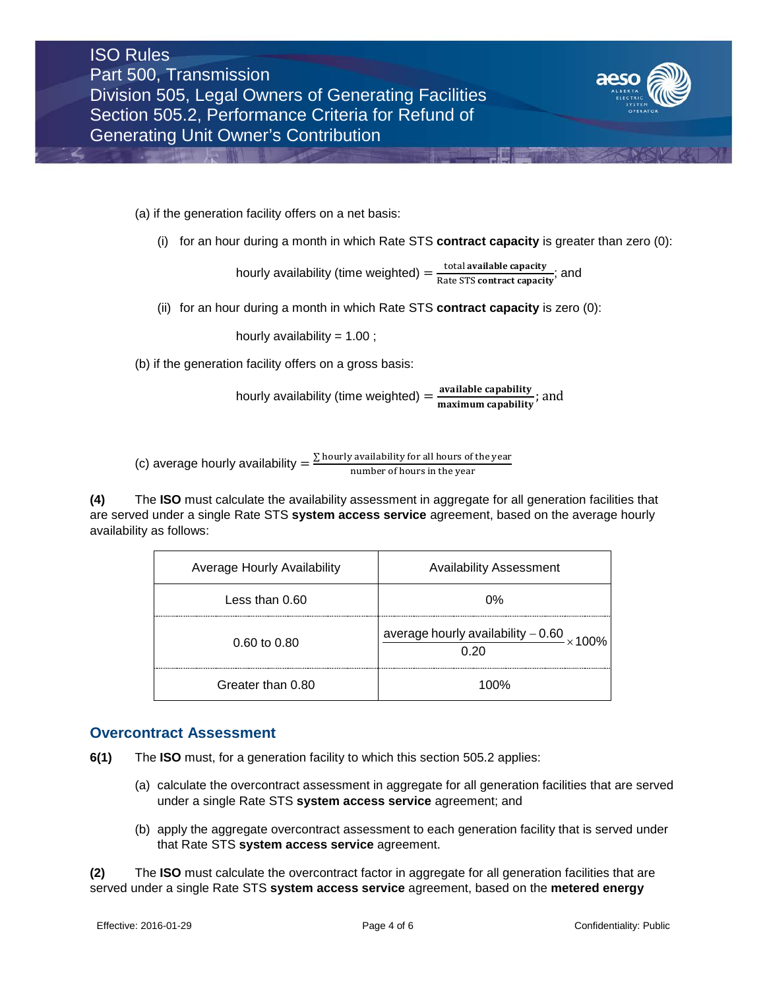

(a) if the generation facility offers on a net basis:

(i) for an hour during a month in which Rate STS **contract capacity** is greater than zero (0):

hourly availability (time weighted)  $=$   $\frac{\text{total available capacity}}{\text{Rate STS contract capacity}}$ ; and

(ii) for an hour during a month in which Rate STS **contract capacity** is zero (0):

hourly availability =  $1.00$ ;

(b) if the generation facility offers on a gross basis:

hourly availability (time weighted)  $=\frac{available\ capability}{maximum\ capability}$ ; and

(c) average hourly availability  $=$   $\frac{\sum \text{hourly available}}{\text{number of hours in the year}}$ 

**(4)** The **ISO** must calculate the availability assessment in aggregate for all generation facilities that are served under a single Rate STS **system access service** agreement, based on the average hourly availability as follows:

| Average Hourly Availability | <b>Availability Assessment</b>                             |
|-----------------------------|------------------------------------------------------------|
| Less than 0.60              | 0%                                                         |
| $0.60 \text{ to } 0.80$     | average hourly availability $-0.60$ $\times 100\%$<br>በ 2በ |
| Greater than 0.80           | 100%                                                       |

#### **Overcontract Assessment**

**6(1)** The **ISO** must, for a generation facility to which this section 505.2 applies:

- (a) calculate the overcontract assessment in aggregate for all generation facilities that are served under a single Rate STS **system access service** agreement; and
- (b) apply the aggregate overcontract assessment to each generation facility that is served under that Rate STS **system access service** agreement.

**(2)** The **ISO** must calculate the overcontract factor in aggregate for all generation facilities that are served under a single Rate STS **system access service** agreement, based on the **metered energy**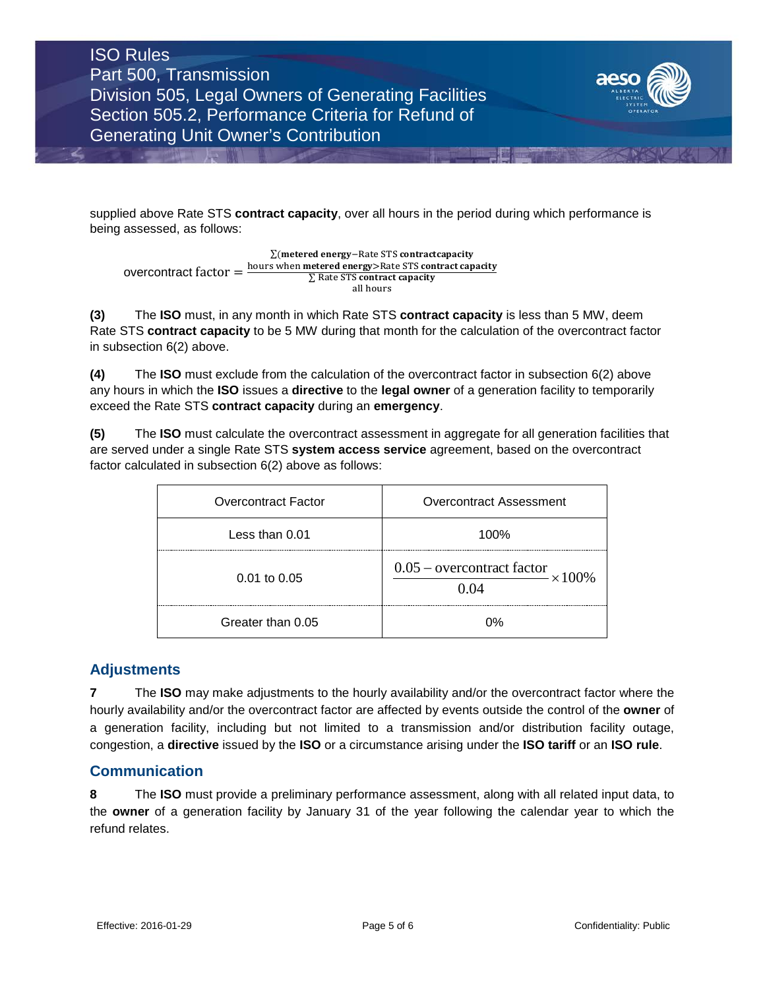ISO Rules Part 500, Transmission Division 505, Legal Owners of Generating Facilities Section 505.2, Performance Criteria for Refund of Generating Unit Owner's Contribution



supplied above Rate STS **contract capacity**, over all hours in the period during which performance is being assessed, as follows:

overcontract factor =  $\Sigma$ (metered energy $-$ Rate STS contractcapacity hours when <mark>metered energy></mark>Rate STS <mark>contract capacity</mark> ∑ Rate STS <mark>contract capacity</mark> all hours

**(3)** The **ISO** must, in any month in which Rate STS **contract capacity** is less than 5 MW, deem Rate STS **contract capacity** to be 5 MW during that month for the calculation of the overcontract factor in subsection 6(2) above.

**(4)** The **ISO** must exclude from the calculation of the overcontract factor in subsection 6(2) above any hours in which the **ISO** issues a **directive** to the **legal owner** of a generation facility to temporarily exceed the Rate STS **contract capacity** during an **emergency**.

**(5)** The **ISO** must calculate the overcontract assessment in aggregate for all generation facilities that are served under a single Rate STS **system access service** agreement, based on the overcontract factor calculated in subsection 6(2) above as follows:

| <b>Overcontract Factor</b> | Overcontract Assessment                       |
|----------------------------|-----------------------------------------------|
| Less than 0.01             | 100%                                          |
| $0.01$ to $0.05$           | $0.05$ – overcontract factor<br>$\times100\%$ |
| Greater than 0.05          | ነዓ⁄-                                          |

## **Adjustments**

**7** The **ISO** may make adjustments to the hourly availability and/or the overcontract factor where the hourly availability and/or the overcontract factor are affected by events outside the control of the **owner** of a generation facility, including but not limited to a transmission and/or distribution facility outage, congestion, a **directive** issued by the **ISO** or a circumstance arising under the **ISO tariff** or an **ISO rule**.

## **Communication**

**8** The **ISO** must provide a preliminary performance assessment, along with all related input data, to the **owner** of a generation facility by January 31 of the year following the calendar year to which the refund relates.